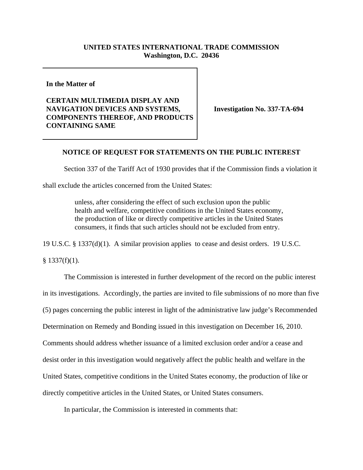## **UNITED STATES INTERNATIONAL TRADE COMMISSION Washington, D.C. 20436**

**In the Matter of** 

## **CERTAIN MULTIMEDIA DISPLAY AND NAVIGATION DEVICES AND SYSTEMS, COMPONENTS THEREOF, AND PRODUCTS CONTAINING SAME**

**Investigation No. 337-TA-694**

## **NOTICE OF REQUEST FOR STATEMENTS ON THE PUBLIC INTEREST**

Section 337 of the Tariff Act of 1930 provides that if the Commission finds a violation it

shall exclude the articles concerned from the United States:

unless, after considering the effect of such exclusion upon the public health and welfare, competitive conditions in the United States economy, the production of like or directly competitive articles in the United States consumers, it finds that such articles should not be excluded from entry.

19 U.S.C. § 1337(d)(1). A similar provision applies to cease and desist orders. 19 U.S.C.

 $§$  1337(f)(1).

The Commission is interested in further development of the record on the public interest in its investigations. Accordingly, the parties are invited to file submissions of no more than five (5) pages concerning the public interest in light of the administrative law judge's Recommended Determination on Remedy and Bonding issued in this investigation on December 16, 2010. Comments should address whether issuance of a limited exclusion order and/or a cease and desist order in this investigation would negatively affect the public health and welfare in the United States, competitive conditions in the United States economy, the production of like or directly competitive articles in the United States, or United States consumers.

In particular, the Commission is interested in comments that: